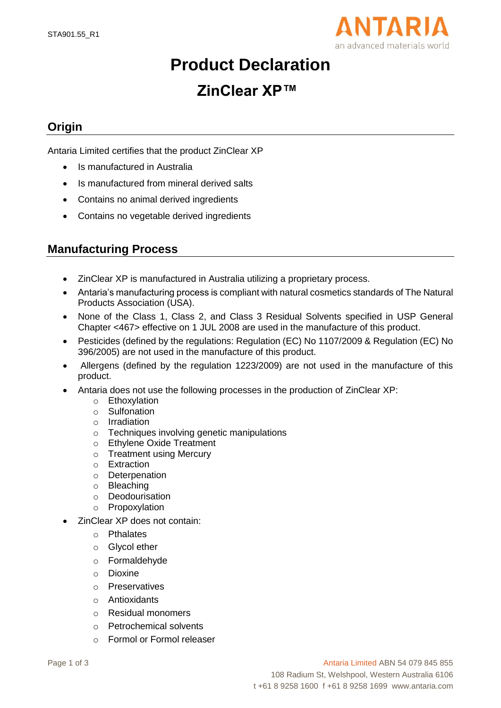

# **Product Declaration**

## **ZinClear XP™**

### **Origin**

Antaria Limited certifies that the product ZinClear XP

- Is manufactured in Australia
- Is manufactured from mineral derived salts
- Contains no animal derived ingredients
- Contains no vegetable derived ingredients

#### **Manufacturing Process**

- ZinClear XP is manufactured in Australia utilizing a proprietary process.
- Antaria's manufacturing process is compliant with natural cosmetics standards of The Natural Products Association (USA).
- None of the Class 1, Class 2, and Class 3 Residual Solvents specified in USP General Chapter <467> effective on 1 JUL 2008 are used in the manufacture of this product.
- Pesticides (defined by the regulations: Regulation (EC) No 1107/2009 & Regulation (EC) No 396/2005) are not used in the manufacture of this product.
- Allergens (defined by the regulation 1223/2009) are not used in the manufacture of this product.
- Antaria does not use the following processes in the production of ZinClear XP:
	- o Ethoxylation
	- o Sulfonation
	- o Irradiation
	- o Techniques involving genetic manipulations
	- o Ethylene Oxide Treatment
	- o Treatment using Mercury
	- o Extraction
	- o Deterpenation
	- o Bleaching
	- o Deodourisation
	- o Propoxylation
- ZinClear XP does not contain:
	- o Pthalates
	- o Glycol ether
	- o Formaldehyde
	- o Dioxine
	- o Preservatives
	- o Antioxidants
	- o Residual monomers
	- o Petrochemical solvents
	- o Formol or Formol releaser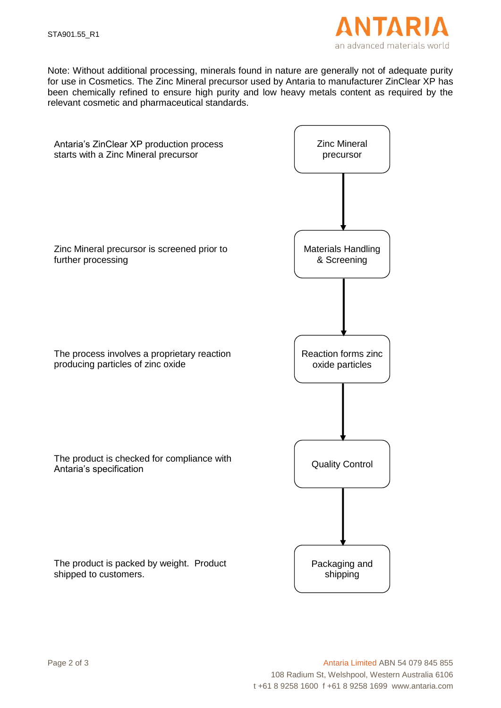

Note: Without additional processing, minerals found in nature are generally not of adequate purity for use in Cosmetics. The Zinc Mineral precursor used by Antaria to manufacturer ZinClear XP has been chemically refined to ensure high purity and low heavy metals content as required by the relevant cosmetic and pharmaceutical standards.